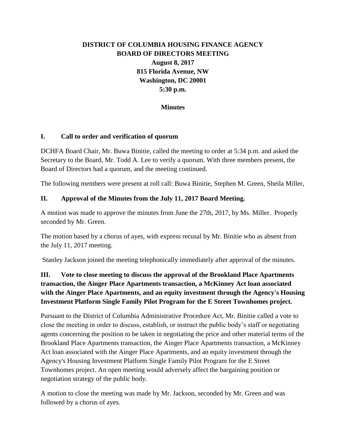# **DISTRICT OF COLUMBIA HOUSING FINANCE AGENCY BOARD OF DIRECTORS MEETING August 8, 2017 815 Florida Avenue, NW Washington, DC 20001 5:30 p.m.**

## **Minutes**

### **I. Call to order and verification of quorum**

DCHFA Board Chair, Mr. Buwa Binitie, called the meeting to order at 5:34 p.m. and asked the Secretary to the Board, Mr. Todd A. Lee to verify a quorum. With three members present, the Board of Directors had a quorum, and the meeting continued.

The following members were present at roll call: Buwa Binitie, Stephen M. Green, Sheila Miller,

# **II. Approval of the Minutes from the July 11, 2017 Board Meeting.**

A motion was made to approve the minutes from June the 27th, 2017, by Ms. Miller. Properly seconded by Mr. Green.

The motion based by a chorus of ayes, with express recusal by Mr. Binitie who as absent from the July 11, 2017 meeting.

Stanley Jackson joined the meeting telephonically immediately after approval of the minutes.

# **III. Vote to close meeting to discuss the approval of the Brookland Place Apartments transaction, the Ainger Place Apartments transaction, a McKinney Act loan associated with the Ainger Place Apartments, and an equity investment through the Agency's Housing Investment Platform Single Family Pilot Program for the E Street Townhomes project.**

Pursuant to the District of Columbia Administrative Procedure Act, Mr. Binitie called a vote to close the meeting in order to discuss, establish, or instruct the public body's staff or negotiating agents concerning the position to be taken in negotiating the price and other material terms of the Brookland Place Apartments transaction, the Ainger Place Apartments transaction, a McKinney Act loan associated with the Ainger Place Apartments, and an equity investment through the Agency's Housing Investment Platform Single Family Pilot Program for the E Street Townhomes project. An open meeting would adversely affect the bargaining position or negotiation strategy of the public body.

A motion to close the meeting was made by Mr. Jackson, seconded by Mr. Green and was followed by a chorus of ayes.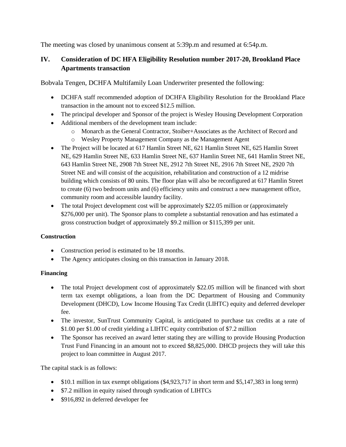The meeting was closed by unanimous consent at 5:39p.m and resumed at 6:54p.m.

# **IV. Consideration of DC HFA Eligibility Resolution number 2017-20, Brookland Place Apartments transaction**

Bobvala Tengen, DCHFA Multifamily Loan Underwriter presented the following:

- DCHFA staff recommended adoption of DCHFA Eligibility Resolution for the Brookland Place transaction in the amount not to exceed \$12.5 million.
- The principal developer and Sponsor of the project is Wesley Housing Development Corporation
- Additional members of the development team include:
	- o Monarch as the General Contractor, Stoiber+Associates as the Architect of Record and
	- o Wesley Property Management Company as the Management Agent
- The Project will be located at 617 Hamlin Street NE, 621 Hamlin Street NE, 625 Hamlin Street NE, 629 Hamlin Street NE, 633 Hamlin Street NE, 637 Hamlin Street NE, 641 Hamlin Street NE, 643 Hamlin Street NE, 2908 7th Street NE, 2912 7th Street NE, 2916 7th Street NE, 2920 7th Street NE and will consist of the acquisition, rehabilitation and construction of a 12 midrise building which consists of 80 units. The floor plan will also be reconfigured at 617 Hamlin Street to create (6) two bedroom units and (6) efficiency units and construct a new management office, community room and accessible laundry facility.
- The total Project development cost will be approximately \$22.05 million or (approximately \$276,000 per unit). The Sponsor plans to complete a substantial renovation and has estimated a gross construction budget of approximately \$9.2 million or \$115,399 per unit.

# **Construction**

- Construction period is estimated to be 18 months.
- The Agency anticipates closing on this transaction in January 2018.

# **Financing**

- The total Project development cost of approximately \$22.05 million will be financed with short term tax exempt obligations, a loan from the DC Department of Housing and Community Development (DHCD), Low Income Housing Tax Credit (LIHTC) equity and deferred developer fee.
- The investor, SunTrust Community Capital, is anticipated to purchase tax credits at a rate of \$1.00 per \$1.00 of credit yielding a LIHTC equity contribution of \$7.2 million
- The Sponsor has received an award letter stating they are willing to provide Housing Production Trust Fund Financing in an amount not to exceed \$8,825,000. DHCD projects they will take this project to loan committee in August 2017.

The capital stack is as follows:

- $\bullet$  \$10.1 million in tax exempt obligations (\$4,923,717 in short term and \$5,147,383 in long term)
- \$7.2 million in equity raised through syndication of LIHTCs
- \$916,892 in deferred developer fee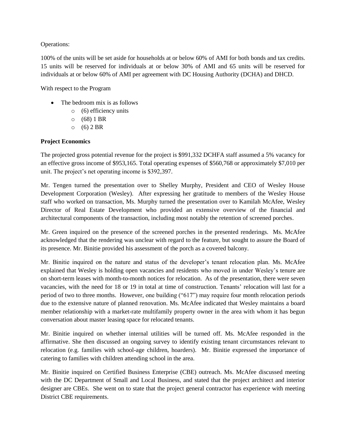#### Operations:

100% of the units will be set aside for households at or below 60% of AMI for both bonds and tax credits. 15 units will be reserved for individuals at or below 30% of AMI and 65 units will be reserved for individuals at or below 60% of AMI per agreement with DC Housing Authority (DCHA) and DHCD.

With respect to the Program

- The bedroom mix is as follows
	- o (6) efficiency units
	- $0 (68) 1 BR$
	- $0 (6) 2 BR$

### **Project Economics**

The projected gross potential revenue for the project is \$991,332 DCHFA staff assumed a 5% vacancy for an effective gross income of \$953,165. Total operating expenses of \$560,768 or approximately \$7,010 per unit. The project's net operating income is \$392,397.

Mr. Tengen turned the presentation over to Shelley Murphy, President and CEO of Wesley House Development Corporation (Wesley). After expressing her gratitude to members of the Wesley House staff who worked on transaction, Ms. Murphy turned the presentation over to Kamilah McAfee, Wesley Director of Real Estate Development who provided an extensive overview of the financial and architectural components of the transaction, including most notably the retention of screened porches.

Mr. Green inquired on the presence of the screened porches in the presented renderings. Ms. McAfee acknowledged that the rendering was unclear with regard to the feature, but sought to assure the Board of its presence. Mr. Binitie provided his assessment of the porch as a covered balcony.

Mr. Binitie inquired on the nature and status of the developer's tenant relocation plan. Ms. McAfee explained that Wesley is holding open vacancies and residents who moved in under Wesley's tenure are on short-term leases with month-to-month notices for relocation. As of the presentation, there were seven vacancies, with the need for 18 or 19 in total at time of construction. Tenants' relocation will last for a period of two to three months. However, one building ("617") may require four month relocation periods due to the extensive nature of planned renovation. Ms. McAfee indicated that Wesley maintains a board member relationship with a market-rate multifamily property owner in the area with whom it has begun conversation about master leasing space for relocated tenants.

Mr. Binitie inquired on whether internal utilities will be turned off. Ms. McAfee responded in the affirmative. She then discussed an ongoing survey to identify existing tenant circumstances relevant to relocation (e.g. families with school-age children, hoarders). Mr. Binitie expressed the importance of catering to families with children attending school in the area.

Mr. Binitie inquired on Certified Business Enterprise (CBE) outreach. Ms. McAfee discussed meeting with the DC Department of Small and Local Business, and stated that the project architect and interior designer are CBEs. She went on to state that the project general contractor has experience with meeting District CBE requirements.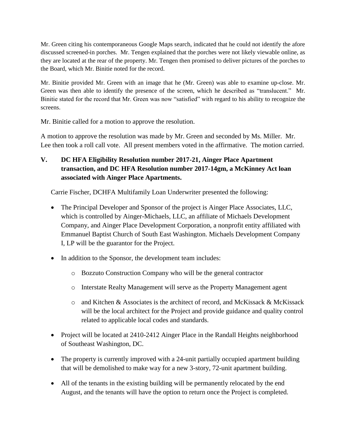Mr. Green citing his contemporaneous Google Maps search, indicated that he could not identify the afore discussed screened-in porches. Mr. Tengen explained that the porches were not likely viewable online, as they are located at the rear of the property. Mr. Tengen then promised to deliver pictures of the porches to the Board, which Mr. Binitie noted for the record.

Mr. Binitie provided Mr. Green with an image that he (Mr. Green) was able to examine up-close. Mr. Green was then able to identify the presence of the screen, which he described as "translucent." Mr. Binitie stated for the record that Mr. Green was now "satisfied" with regard to his ability to recognize the screens.

Mr. Binitie called for a motion to approve the resolution.

A motion to approve the resolution was made by Mr. Green and seconded by Ms. Miller. Mr. Lee then took a roll call vote. All present members voted in the affirmative. The motion carried.

**V. DC HFA Eligibility Resolution number 2017-21, Ainger Place Apartment transaction, and DC HFA Resolution number 2017-14gm, a McKinney Act loan associated with Ainger Place Apartments.**

Carrie Fischer, DCHFA Multifamily Loan Underwriter presented the following:

- The Principal Developer and Sponsor of the project is Ainger Place Associates, LLC, which is controlled by Ainger-Michaels, LLC, an affiliate of Michaels Development Company, and Ainger Place Development Corporation, a nonprofit entity affiliated with Emmanuel Baptist Church of South East Washington. Michaels Development Company I, LP will be the guarantor for the Project.
- In addition to the Sponsor, the development team includes:
	- o Bozzuto Construction Company who will be the general contractor
	- o Interstate Realty Management will serve as the Property Management agent
	- $\circ$  and Kitchen & Associates is the architect of record, and McKissack & McKissack will be the local architect for the Project and provide guidance and quality control related to applicable local codes and standards.
- Project will be located at 2410-2412 Ainger Place in the Randall Heights neighborhood of Southeast Washington, DC.
- The property is currently improved with a 24-unit partially occupied apartment building that will be demolished to make way for a new 3-story, 72-unit apartment building.
- All of the tenants in the existing building will be permanently relocated by the end August, and the tenants will have the option to return once the Project is completed.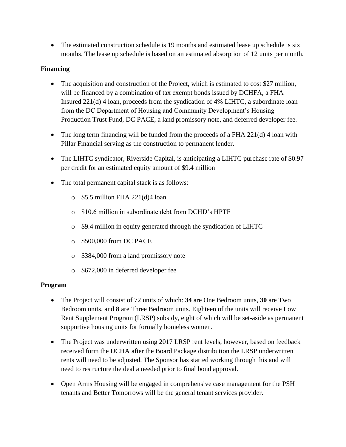• The estimated construction schedule is 19 months and estimated lease up schedule is six months. The lease up schedule is based on an estimated absorption of 12 units per month.

# **Financing**

- The acquisition and construction of the Project, which is estimated to cost \$27 million, will be financed by a combination of tax exempt bonds issued by DCHFA, a FHA Insured 221(d) 4 loan, proceeds from the syndication of 4% LIHTC, a subordinate loan from the DC Department of Housing and Community Development's Housing Production Trust Fund, DC PACE, a land promissory note, and deferred developer fee.
- The long term financing will be funded from the proceeds of a FHA 221(d) 4 loan with Pillar Financial serving as the construction to permanent lender.
- The LIHTC syndicator, Riverside Capital, is anticipating a LIHTC purchase rate of \$0.97 per credit for an estimated equity amount of \$9.4 million
- The total permanent capital stack is as follows:
	- $\circ$  \$5.5 million FHA 221(d)4 loan
	- o \$10.6 million in subordinate debt from DCHD's HPTF
	- o \$9.4 million in equity generated through the syndication of LIHTC
	- o \$500,000 from DC PACE
	- o \$384,000 from a land promissory note
	- o \$672,000 in deferred developer fee

# **Program**

- The Project will consist of 72 units of which: **34** are One Bedroom units, **30** are Two Bedroom units, and **8** are Three Bedroom units. Eighteen of the units will receive Low Rent Supplement Program (LRSP) subsidy, eight of which will be set-aside as permanent supportive housing units for formally homeless women.
- The Project was underwritten using 2017 LRSP rent levels, however, based on feedback received form the DCHA after the Board Package distribution the LRSP underwritten rents will need to be adjusted. The Sponsor has started working through this and will need to restructure the deal a needed prior to final bond approval.
- Open Arms Housing will be engaged in comprehensive case management for the PSH tenants and Better Tomorrows will be the general tenant services provider.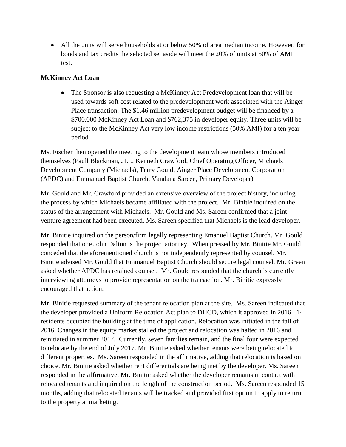All the units will serve households at or below 50% of area median income. However, for bonds and tax credits the selected set aside will meet the 20% of units at 50% of AMI test.

# **McKinney Act Loan**

• The Sponsor is also requesting a McKinney Act Predevelopment loan that will be used towards soft cost related to the predevelopment work associated with the Ainger Place transaction. The \$1.46 million predevelopment budget will be financed by a \$700,000 McKinney Act Loan and \$762,375 in developer equity. Three units will be subject to the McKinney Act very low income restrictions (50% AMI) for a ten year period.

Ms. Fischer then opened the meeting to the development team whose members introduced themselves (Paull Blackman, JLL, Kenneth Crawford, Chief Operating Officer, Michaels Development Company (Michaels), Terry Gould, Ainger Place Development Corporation (APDC) and Emmanuel Baptist Church, Vandana Sareen, Primary Developer)

Mr. Gould and Mr. Crawford provided an extensive overview of the project history, including the process by which Michaels became affiliated with the project. Mr. Binitie inquired on the status of the arrangement with Michaels. Mr. Gould and Ms. Sareen confirmed that a joint venture agreement had been executed. Ms. Sareen specified that Michaels is the lead developer.

Mr. Binitie inquired on the person/firm legally representing Emanuel Baptist Church. Mr. Gould responded that one John Dalton is the project attorney. When pressed by Mr. Binitie Mr. Gould conceded that the aforementioned church is not independently represented by counsel. Mr. Binitie advised Mr. Gould that Emmanuel Baptist Church should secure legal counsel. Mr. Green asked whether APDC has retained counsel. Mr. Gould responded that the church is currently interviewing attorneys to provide representation on the transaction. Mr. Binitie expressly encouraged that action.

Mr. Binitie requested summary of the tenant relocation plan at the site. Ms. Sareen indicated that the developer provided a Uniform Relocation Act plan to DHCD, which it approved in 2016. 14 residents occupied the building at the time of application. Relocation was initiated in the fall of 2016. Changes in the equity market stalled the project and relocation was halted in 2016 and reinitiated in summer 2017. Currently, seven families remain, and the final four were expected to relocate by the end of July 2017. Mr. Binitie asked whether tenants were being relocated to different properties. Ms. Sareen responded in the affirmative, adding that relocation is based on choice. Mr. Binitie asked whether rent differentials are being met by the developer. Ms. Sareen responded in the affirmative. Mr. Binitie asked whether the developer remains in contact with relocated tenants and inquired on the length of the construction period. Ms. Sareen responded 15 months, adding that relocated tenants will be tracked and provided first option to apply to return to the property at marketing.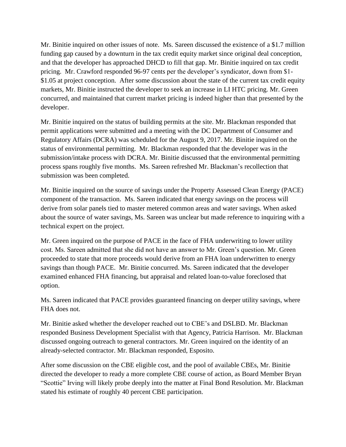Mr. Binitie inquired on other issues of note. Ms. Sareen discussed the existence of a \$1.7 million funding gap caused by a downturn in the tax credit equity market since original deal conception, and that the developer has approached DHCD to fill that gap. Mr. Binitie inquired on tax credit pricing. Mr. Crawford responded 96-97 cents per the developer's syndicator, down from \$1- \$1.05 at project conception. After some discussion about the state of the current tax credit equity markets, Mr. Binitie instructed the developer to seek an increase in LI HTC pricing. Mr. Green concurred, and maintained that current market pricing is indeed higher than that presented by the developer.

Mr. Binitie inquired on the status of building permits at the site. Mr. Blackman responded that permit applications were submitted and a meeting with the DC Department of Consumer and Regulatory Affairs (DCRA) was scheduled for the August 9, 2017. Mr. Binitie inquired on the status of environmental permitting. Mr. Blackman responded that the developer was in the submission/intake process with DCRA. Mr. Binitie discussed that the environmental permitting process spans roughly five months. Ms. Sareen refreshed Mr. Blackman's recollection that submission was been completed.

Mr. Binitie inquired on the source of savings under the Property Assessed Clean Energy (PACE) component of the transaction. Ms. Sareen indicated that energy savings on the process will derive from solar panels tied to master metered common areas and water savings. When asked about the source of water savings, Ms. Sareen was unclear but made reference to inquiring with a technical expert on the project.

Mr. Green inquired on the purpose of PACE in the face of FHA underwriting to lower utility cost. Ms. Sareen admitted that she did not have an answer to Mr. Green's question. Mr. Green proceeded to state that more proceeds would derive from an FHA loan underwritten to energy savings than though PACE. Mr. Binitie concurred. Ms. Sareen indicated that the developer examined enhanced FHA financing, but appraisal and related loan-to-value foreclosed that option.

Ms. Sareen indicated that PACE provides guaranteed financing on deeper utility savings, where FHA does not.

Mr. Binitie asked whether the developer reached out to CBE's and DSLBD. Mr. Blackman responded Business Development Specialist with that Agency, Patricia Harrison. Mr. Blackman discussed ongoing outreach to general contractors. Mr. Green inquired on the identity of an already-selected contractor. Mr. Blackman responded, Esposito.

After some discussion on the CBE eligible cost, and the pool of available CBEs, Mr. Binitie directed the developer to ready a more complete CBE course of action, as Board Member Bryan "Scottie" Irving will likely probe deeply into the matter at Final Bond Resolution. Mr. Blackman stated his estimate of roughly 40 percent CBE participation.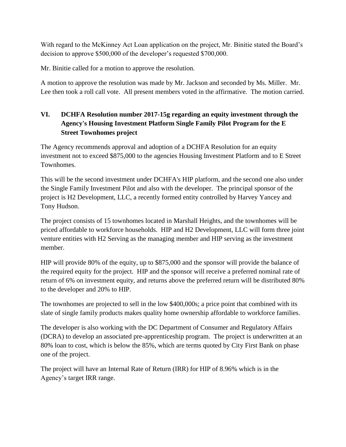With regard to the McKinney Act Loan application on the project, Mr. Binitie stated the Board's decision to approve \$500,000 of the developer's requested \$700,000.

Mr. Binitie called for a motion to approve the resolution.

A motion to approve the resolution was made by Mr. Jackson and seconded by Ms. Miller. Mr. Lee then took a roll call vote. All present members voted in the affirmative. The motion carried.

# **VI. DCHFA Resolution number 2017-15g regarding an equity investment through the Agency's Housing Investment Platform Single Family Pilot Program for the E Street Townhomes project**

The Agency recommends approval and adoption of a DCHFA Resolution for an equity investment not to exceed \$875,000 to the agencies Housing Investment Platform and to E Street Townhomes.

This will be the second investment under DCHFA's HIP platform, and the second one also under the Single Family Investment Pilot and also with the developer. The principal sponsor of the project is H2 Development, LLC, a recently formed entity controlled by Harvey Yancey and Tony Hudson.

The project consists of 15 townhomes located in Marshall Heights, and the townhomes will be priced affordable to workforce households. HIP and H2 Development, LLC will form three joint venture entities with H2 Serving as the managing member and HIP serving as the investment member.

HIP will provide 80% of the equity, up to \$875,000 and the sponsor will provide the balance of the required equity for the project. HIP and the sponsor will receive a preferred nominal rate of return of 6% on investment equity, and returns above the preferred return will be distributed 80% to the developer and 20% to HIP.

The townhomes are projected to sell in the low \$400,000s; a price point that combined with its slate of single family products makes quality home ownership affordable to workforce families.

The developer is also working with the DC Department of Consumer and Regulatory Affairs (DCRA) to develop an associated pre-apprenticeship program. The project is underwritten at an 80% loan to cost, which is below the 85%, which are terms quoted by City First Bank on phase one of the project.

The project will have an Internal Rate of Return (IRR) for HIP of 8.96% which is in the Agency's target IRR range.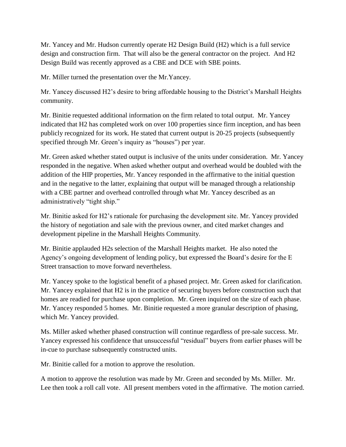Mr. Yancey and Mr. Hudson currently operate H2 Design Build (H2) which is a full service design and construction firm. That will also be the general contractor on the project. And H2 Design Build was recently approved as a CBE and DCE with SBE points.

Mr. Miller turned the presentation over the Mr.Yancey.

Mr. Yancey discussed H2's desire to bring affordable housing to the District's Marshall Heights community.

Mr. Binitie requested additional information on the firm related to total output. Mr. Yancey indicated that H2 has completed work on over 100 properties since firm inception, and has been publicly recognized for its work. He stated that current output is 20-25 projects (subsequently specified through Mr. Green's inquiry as "houses") per year.

Mr. Green asked whether stated output is inclusive of the units under consideration. Mr. Yancey responded in the negative. When asked whether output and overhead would be doubled with the addition of the HIP properties, Mr. Yancey responded in the affirmative to the initial question and in the negative to the latter, explaining that output will be managed through a relationship with a CBE partner and overhead controlled through what Mr. Yancey described as an administratively "tight ship."

Mr. Binitie asked for H2's rationale for purchasing the development site. Mr. Yancey provided the history of negotiation and sale with the previous owner, and cited market changes and development pipeline in the Marshall Heights Community.

Mr. Binitie applauded H2s selection of the Marshall Heights market. He also noted the Agency's ongoing development of lending policy, but expressed the Board's desire for the E Street transaction to move forward nevertheless.

Mr. Yancey spoke to the logistical benefit of a phased project. Mr. Green asked for clarification. Mr. Yancey explained that H2 is in the practice of securing buyers before construction such that homes are readied for purchase upon completion. Mr. Green inquired on the size of each phase. Mr. Yancey responded 5 homes. Mr. Binitie requested a more granular description of phasing, which Mr. Yancey provided.

Ms. Miller asked whether phased construction will continue regardless of pre-sale success. Mr. Yancey expressed his confidence that unsuccessful "residual" buyers from earlier phases will be in-cue to purchase subsequently constructed units.

Mr. Binitie called for a motion to approve the resolution.

A motion to approve the resolution was made by Mr. Green and seconded by Ms. Miller. Mr. Lee then took a roll call vote. All present members voted in the affirmative. The motion carried.